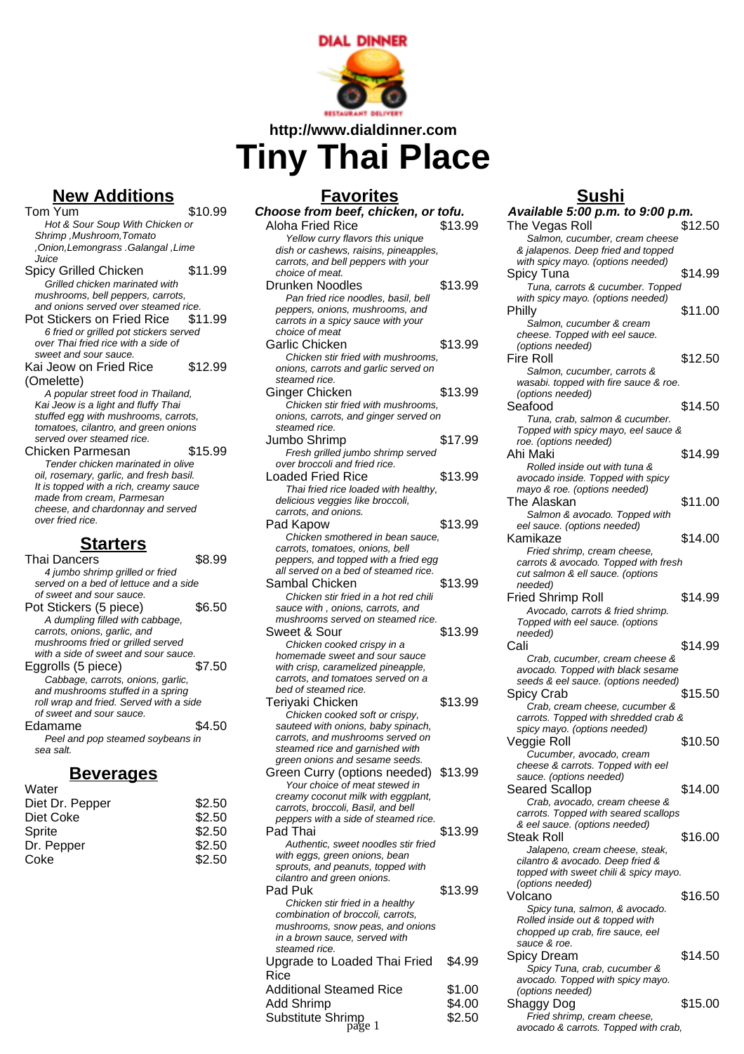

**http://www.dialdinner.com**

## **Tiny Thai Place**

## **New Additions** Tom Yum \$10.99 Hot & Sour Soup With Chicken or Shrimp ,Mushroom,Tomato ,Onion,Lemongrass .Galangal ,Lime Juice Spicy Grilled Chicken \$11.99 Grilled chicken marinated with mushrooms, bell peppers, carrots, and onions served over steamed rice. Pot Stickers on Fried Rice \$11.99 6 fried or grilled pot stickers served over Thai fried rice with a side of sweet and sour sauce. Kai Jeow on Fried Rice (Omelette) \$12.99 A popular street food in Thailand, Kai Jeow is a light and fluffy Thai stuffed egg with mushrooms, carrots, tomatoes, cilantro, and green onions served over steamed rice. Chicken Parmesan \$15.99 Tender chicken marinated in olive oil, rosemary, garlic, and fresh basil. It is topped with a rich, creamy sauce made from cream, Parmesan cheese, and chardonnay and served over fried rice. **Starters**

| arters                                  |        |
|-----------------------------------------|--------|
| Thai Dancers                            | \$8.99 |
| 4 jumbo shrimp grilled or fried         |        |
| served on a bed of lettuce and a side   |        |
| of sweet and sour sauce.                |        |
| Pot Stickers (5 piece)                  | \$6.50 |
| A dumpling filled with cabbage,         |        |
| carrots, onions, garlic, and            |        |
| mushrooms fried or grilled served       |        |
| with a side of sweet and sour sauce.    |        |
| Eggrolls (5 piece)                      | \$7.50 |
| Cabbage, carrots, onions, garlic,       |        |
| and mushrooms stuffed in a spring       |        |
| roll wrap and fried. Served with a side |        |
| of sweet and sour sauce.                |        |
| Edamame                                 | \$4.50 |
| Peel and pop steamed soybeans in        |        |
| sea salt.                               |        |

## **Beverages**

| Water           |        |
|-----------------|--------|
| Diet Dr. Pepper | \$2.50 |
| Diet Coke       | \$2.50 |
| Sprite          | \$2.50 |
| Dr. Pepper      | \$2.50 |
| Coke            | \$2.50 |
|                 |        |

| <b>Favorites</b>                                                           |         |
|----------------------------------------------------------------------------|---------|
| Choose from beef, chicken, or tofu.                                        |         |
| <b>Aloha Fried Rice</b>                                                    | \$13.99 |
| Yellow curry flavors this unique<br>dish or cashews, raisins, pineapples,  |         |
| carrots, and bell peppers with your                                        |         |
| choice of meat.                                                            |         |
| Drunken Noodles                                                            | \$13.99 |
| Pan fried rice noodles, basil, bell<br>peppers, onions, mushrooms, and     |         |
| carrots in a spicy sauce with your                                         |         |
| choice of meat                                                             |         |
| Garlic Chicken                                                             | \$13.99 |
| Chicken stir fried with mushrooms.<br>onions, carrots and garlic served on |         |
| steamed rice.                                                              |         |
| Ginger Chicken                                                             | \$13.99 |
| Chicken stir fried with mushrooms.                                         |         |
| onions, carrots, and ginger served on<br>steamed rice.                     |         |
| Jumbo Shrimp                                                               | \$17.99 |
| Fresh grilled jumbo shrimp served                                          |         |
| over broccoli and fried rice.                                              |         |
| <b>Loaded Fried Rice</b><br>Thai fried rice loaded with healthy,           | \$13.99 |
| delicious veggies like broccoli,                                           |         |
| carrots, and onions.                                                       |         |
| Pad Kapow                                                                  | \$13.99 |
| Chicken smothered in bean sauce,<br>carrots, tomatoes, onions, bell        |         |
| peppers, and topped with a fried egg                                       |         |
| all served on a bed of steamed rice.                                       |         |
| Sambal Chicken<br>Chicken stir fried in a hot red chili                    | \$13.99 |
| sauce with, onions, carrots, and                                           |         |
| mushrooms served on steamed rice.                                          |         |
| Sweet & Sour                                                               | \$13.99 |
| Chicken cooked crispy in a<br>homemade sweet and sour sauce                |         |
| with crisp, caramelized pineapple,                                         |         |
| carrots, and tomatoes served on a                                          |         |
| bed of steamed rice.<br>Teriyaki Chicken                                   | \$13.99 |
| Chicken cooked soft or crispy,                                             |         |
| sauteed with onions, baby spinach,                                         |         |
| carrots, and mushrooms served on                                           |         |
| steamed rice and garnished with<br>green onions and sesame seeds.          |         |
| Green Curry (options needed) \$13.99                                       |         |
| Your choice of meat stewed in                                              |         |
| creamy coconut milk with eggplant,<br>carrots, broccoli, Basil, and bell   |         |
| peppers with a side of steamed rice.                                       |         |
| Pad Thai                                                                   | \$13.99 |
| Authentic, sweet noodles stir fried                                        |         |
| with eggs, green onions, bean<br>sprouts, and peanuts, topped with         |         |
| cilantro and green onions.                                                 |         |
| Pad Puk                                                                    | \$13.99 |
| Chicken stir fried in a healthy                                            |         |
| combination of broccoli, carrots,<br>mushrooms, snow peas, and onions      |         |
| in a brown sauce, served with                                              |         |
| steamed rice.                                                              |         |
| Upgrade to Loaded Thai Fried<br>Rice                                       | \$4.99  |

## **Sushi**

| Available 5:00 p.m. to 9:00 p.m.                                          |         |
|---------------------------------------------------------------------------|---------|
| The Vegas Roll                                                            | \$12.50 |
| Salmon, cucumber, cream cheese<br>& jalapenos. Deep fried and topped      |         |
| with spicy mayo. (options needed)                                         |         |
| Spicy Tuna                                                                | \$14.99 |
| Tuna, carrots & cucumber. Topped                                          |         |
| with spicy mayo. (options needed)<br>Philly                               | \$11.00 |
| Salmon, cucumber & cream                                                  |         |
| cheese. Topped with eel sauce.                                            |         |
| (options needed)                                                          |         |
| Fire Roll<br>Salmon, cucumber, carrots &                                  | \$12.50 |
| wasabi. topped with fire sauce & roe.                                     |         |
| (options needed)                                                          |         |
| Seafood                                                                   | \$14.50 |
| Tuna, crab, salmon & cucumber.<br>Topped with spicy mayo, eel sauce &     |         |
| roe. (options needed)                                                     |         |
| Ahi Maki                                                                  | \$14.99 |
| Rolled inside out with tuna &                                             |         |
| avocado inside. Topped with spicy<br>mayo & roe. (options needed)         |         |
| The Alaskan                                                               | \$11.00 |
| Salmon & avocado. Topped with                                             |         |
| eel sauce. (options needed)<br>Kamikaze                                   | \$14.00 |
| Fried shrimp, cream cheese,                                               |         |
| carrots & avocado. Topped with fresh                                      |         |
| cut salmon & ell sauce. (options                                          |         |
| needed)<br><b>Fried Shrimp Roll</b>                                       | \$14.99 |
| Avocado, carrots & fried shrimp.                                          |         |
| Topped with eel sauce. (options                                           |         |
| needed)                                                                   |         |
| Cali<br>Crab, cucumber, cream cheese &                                    | \$14.99 |
| avocado. Topped with black sesame                                         |         |
| seeds & eel sauce. (options needed)                                       |         |
| Spicy Crab                                                                | \$15.50 |
| Crab, cream cheese, cucumber &<br>carrots. Topped with shredded crab &    |         |
| spicy mayo. (options needed)                                              |         |
| Veggie Roll                                                               | \$10.50 |
| Cucumber, avocado, cream                                                  |         |
| cheese & carrots. Topped with eel<br>sauce. (options needed)              |         |
| <b>Seared Scallop</b>                                                     | \$14.00 |
| Crab, avocado, cream cheese &                                             |         |
| carrots. Topped with seared scallops<br>& eel sauce. (options needed)     |         |
| Steak Roll                                                                | \$16.00 |
| Jalapeno, cream cheese, steak,                                            |         |
| cilantro & avocado. Deep fried &<br>topped with sweet chili & spicy mayo. |         |
| (options needed)                                                          |         |
| Volcano                                                                   | \$16.50 |
| Spicy tuna, salmon, & avocado.                                            |         |
| Rolled inside out & topped with<br>chopped up crab, fire sauce, eel       |         |
| sauce & roe.                                                              |         |
| Spicy Dream                                                               | \$14.50 |
| Spicy Tuna, crab, cucumber &<br>avocado. Topped with spicy mayo.          |         |
| (options needed)                                                          |         |
| Shaggy Dog                                                                | \$15.00 |
| Fried shrimp, cream cheese,                                               |         |
| avocado & carrots. Topped with crab,                                      |         |

Substitute Shrimp<br>
page 1 \$2.50

Additional Steamed Rice \$1.00 Add Shrimp  $$4.00$